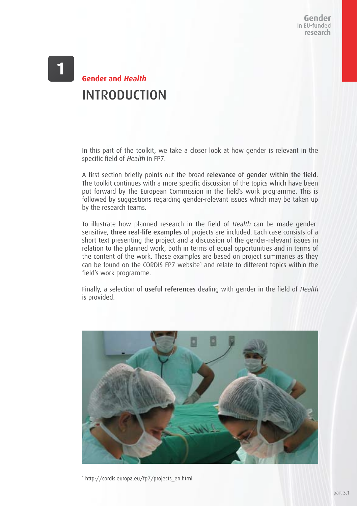# **Gender and Health** INTRODUCTION

In this part of the toolkit, we take a closer look at how gender is relevant in the specific field of Health in FP7.

A first section briefly points out the broad relevance of gender within the field. The toolkit continues with a more specific discussion of the topics which have been put forward by the European Commission in the field's work programme. This is followed by suggestions regarding gender-relevant issues which may be taken up by the research teams.

To illustrate how planned research in the field of Health can be made gendersensitive, three real-life examples of projects are included. Each case consists of a short text presenting the project and a discussion of the gender-relevant issues in relation to the planned work, both in terms of equal opportunities and in terms of the content of the work. These examples are based on project summaries as they can be found on the CORDIS FP7 website<sup>1</sup> and relate to different topics within the field's work programme.

Finally, a selection of useful references dealing with gender in the field of Health is provided.



1 http://cordis.europa.eu/fp7/projects\_en.html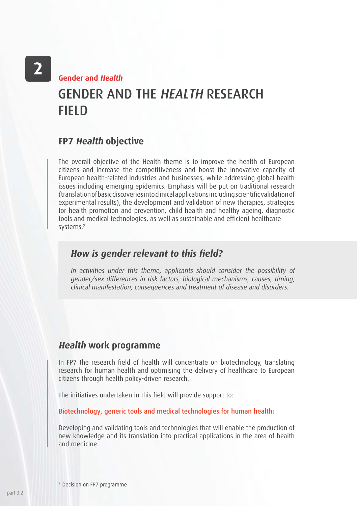**Gender and Health**

# GENDER AND THE HEALTH RESEARCH FIELD

### **FP7 Health objective**

The overall objective of the Health theme is to improve the health of European citizens and increase the competitiveness and boost the innovative capacity of European health-related industries and businesses, while addressing global health issues including emerging epidemics. Emphasis will be put on traditional research (translation of basic discoveries into clinical applications including scientific validation of experimental results), the development and validation of new therapies, strategies for health promotion and prevention, child health and healthy ageing, diagnostic tools and medical technologies, as well as sustainable and efficient healthcare systems.2

### **How is gender relevant to this field?**

In activities under this theme, applicants should consider the possibility of gender/sex differences in risk factors, biological mechanisms, causes, timing, clinical manifestation, consequences and treatment of disease and disorders.

## **Health work programme**

In FP7 the research field of health will concentrate on biotechnology, translating research for human health and optimising the delivery of healthcare to European citizens through health policy-driven research.

The initiatives undertaken in this field will provide support to:

Biotechnology, generic tools and medical technologies for human health:

Developing and validating tools and technologies that will enable the production of new knowledge and its translation into practical applications in the area of health and medicine.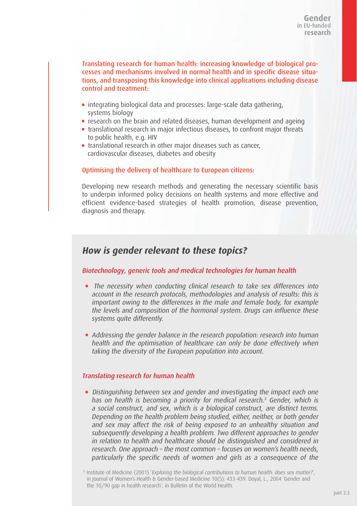Translating research for human health: increasing knowledge of biological processes and mechanisms involved in normal health and in specific disease situations, and transposing this knowledge into clinical applications including disease control and treatment:

- integrating biological data and processes: large-scale data gathering, systems biology
- research on the brain and related diseases, human development and ageing
- translational research in major infectious diseases, to confront major threats to public health, e.g. HIV
- translational research in other major diseases such as cancer, cardiovascular diseases, diabetes and obesity

#### Optimising the delivery of healthcare to European citizens:

Developing new research methods and generating the necessary scientific basis to underpin informed policy decisions on health systems and more effective and efficient evidence-based strategies of health promotion, disease prevention, diagnosis and therapy.

### **How is gender relevant to these topics?**

#### Biotechnology, generic tools and medical technologies for human health

- The necessity when conducting clinical research to take sex differences into account in the research protocols, methodologies and analysis of results: this is important owing to the differences in the male and female body, for example the levels and composition of the hormonal system. Drugs can influence these systems quite differently.
- Addressing the gender balance in the research population: research into human health and the optimisation of healthcare can only be done effectively when taking the diversity of the European population into account.

#### Translating research for human health

 Distinguishing between sex and gender and investigating the impact each one has on health is becoming a priority for medical research.<sup>3</sup> Gender, which is a social construct, and sex, which is a biological construct, are distinct terms. Depending on the health problem being studied, either, neither, or both gender and sex may affect the risk of being exposed to an unhealthy situation and subsequently developing a health problem. Two different approaches to gender in relation to health and healthcare should be distinguished and considered in research. One approach – the most common – focuses on women's health needs, particularly the specific needs of women and girls as a consequence of the

<sup>&</sup>lt;sup>3</sup> Institute of Medicine (2001) 'Exploring the biological contributions to human health: does sex matter?', in Journal of Women's Health & Gender-based Medicine 10(5): 433-439. Doyal, L., 2004 'Gender and the 10/90 gap in health research', in Bulletin of the World Health.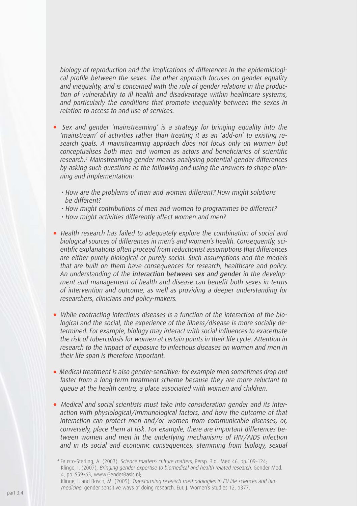biology of reproduction and the implications of differences in the epidemiological profile between the sexes. The other approach focuses on gender equality and inequality, and is concerned with the role of gender relations in the production of vulnerability to ill health and disadvantage within healthcare systems, and particularly the conditions that promote inequality between the sexes in relation to access to and use of services.

- Sex and gender 'mainstreaming' is a strategy for bringing equality into the 'mainstream' of activities rather than treating it as an 'add-on' to existing research goals. A mainstreaming approach does not focus only on women but conceptualises both men and women as actors and beneficiaries of scientific research.4 Mainstreaming gender means analysing potential gender differences by asking such questions as the following and using the answers to shape planning and implementation:
	- How are the problems of men and women different? How might solutions be different?
	- How might contributions of men and women to programmes be different?
	- How might activities differently affect women and men?
- Health research has failed to adequately explore the combination of social and biological sources of differences in men's and women's health. Consequently, scientific explanations often proceed from reductionist assumptions that differences are either purely biological or purely social. Such assumptions and the models that are built on them have consequences for research, healthcare and policy. An understanding of the interaction between sex and gender in the development and management of health and disease can benefit both sexes in terms of intervention and outcome, as well as providing a deeper understanding for researchers, clinicians and policy-makers.
- While contracting infectious diseases is a function of the interaction of the biological and the social, the experience of the illness/disease is more socially determined. For example, biology may interact with social influences to exacerbate the risk of tuberculosis for women at certain points in their life cycle. Attention in research to the impact of exposure to infectious diseases on women and men in their life span is therefore important.
- Medical treatment is also gender-sensitive: for example men sometimes drop out faster from a long-term treatment scheme because they are more reluctant to queue at the health centre, a place associated with women and children.
- Medical and social scientists must take into consideration gender and its interaction with physiological/immunological factors, and how the outcome of that interaction can protect men and/or women from communicable diseases, or, conversely, place them at risk. For example, there are important differences between women and men in the underlying mechanisms of HIV/AIDS infection and in its social and economic consequences, stemming from biology, sexual

<sup>4</sup> Fausto-Sterling, A. (2003), Science matters: culture matters, Persp. Biol. Med 46, pp.109-124; Klinge, I. (2007), Bringing gender expertise to biomedical and health related research, Gender Med. 4, pp. S59-63, www.GenderBasic.nl;

Klinge, I. and Bosch, M. (2005), Transforming research methodologies in EU life sciences and biomedicine: gender sensitive ways of doing research. Eur. J. Women's Studies 12, p377.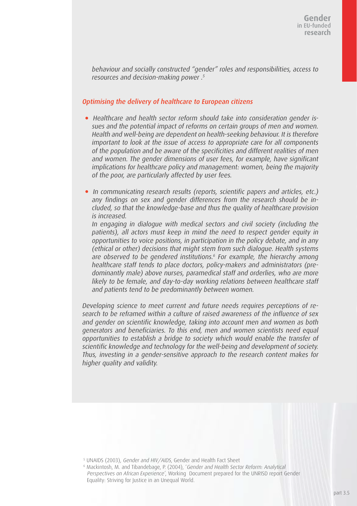behaviour and socially constructed "gender" roles and responsibilities, access to resources and decision-making power .<sup>5</sup>

#### Optimising the delivery of healthcare to European citizens

- Healthcare and health sector reform should take into consideration gender issues and the potential impact of reforms on certain groups of men and women. Health and well-being are dependent on health-seeking behaviour. It is therefore important to look at the issue of access to appropriate care for all components of the population and be aware of the specificities and different realities of men and women. The gender dimensions of user fees, for example, have significant implications for healthcare policy and management: women, being the majority of the poor, are particularly affected by user fees.
- In communicating research results (reports, scientific papers and articles, etc.) any findings on sex and gender differences from the research should be included, so that the knowledge-base and thus the quality of healthcare provision is increased.

In engaging in dialogue with medical sectors and civil society (including the patients), all actors must keep in mind the need to respect gender equity in opportunities to voice positions, in participation in the policy debate, and in any (ethical or other) decisions that might stem from such dialogue. Health systems are observed to be gendered institutions.<sup>6</sup> For example, the hierarchy among healthcare staff tends to place doctors, policy-makers and administrators (predominantly male) above nurses, paramedical staff and orderlies, who are more likely to be female, and day-to-day working relations between healthcare staff and patients tend to be predominantly between women.

Developing science to meet current and future needs requires perceptions of research to be reframed within a culture of raised awareness of the influence of sex and gender on scientific knowledge, taking into account men and women as both generators and beneficiaries. To this end, men and women scientists need equal opportunities to establish a bridge to society which would enable the transfer of scientific knowledge and technology for the well-being and development of society. Thus, investing in a gender-sensitive approach to the research content makes for higher quality and validity.

<sup>5</sup> UNAIDS (2003), Gender and HIV/AIDS, Gender and Health Fact Sheet

6 Mackintosh, M. and Tibandebage, P. (2004), 'Gender and Health Sector Reform: Analytical Perspectives on African Experience', Working Document prepared for the UNRISD report Gender Equality: Striving for Justice in an Unequal World.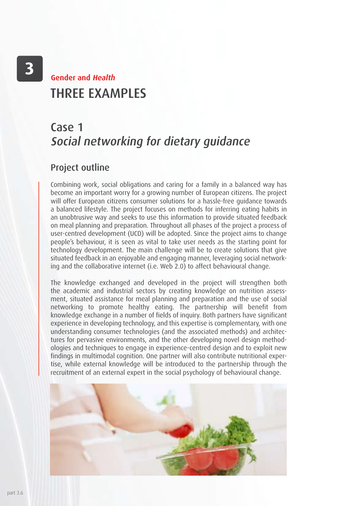# THRFF **FXAMPLES Gender and Health**

# Case 1 Social networking for dietary guidance

## Project outline

Combining work, social obligations and caring for a family in a balanced way has become an important worry for a growing number of European citizens. The project will offer European citizens consumer solutions for a hassle-free guidance towards a balanced lifestyle. The project focuses on methods for inferring eating habits in an unobtrusive way and seeks to use this information to provide situated feedback on meal planning and preparation. Throughout all phases of the project a process of user-centred development (UCD) will be adopted. Since the project aims to change people's behaviour, it is seen as vital to take user needs as the starting point for technology development. The main challenge will be to create solutions that give situated feedback in an enjoyable and engaging manner, leveraging social networking and the collaborative internet (i.e. Web 2.0) to affect behavioural change.

The knowledge exchanged and developed in the project will strengthen both the academic and industrial sectors by creating knowledge on nutrition assessment, situated assistance for meal planning and preparation and the use of social networking to promote healthy eating. The partnership will benefit from knowledge exchange in a number of fields of inquiry. Both partners have significant experience in developing technology, and this expertise is complementary, with one understanding consumer technologies (and the associated methods) and architectures for pervasive environments, and the other developing novel design methodologies and techniques to engage in experience-centred design and to exploit new findings in multimodal cognition. One partner will also contribute nutritional expertise, while external knowledge will be introduced to the partnership through the recruitment of an external expert in the social psychology of behavioural change.

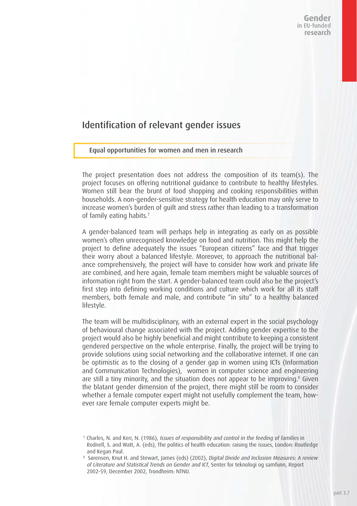## Identification of relevant gender issues

#### Equal opportunities for women and men in research

The project presentation does not address the composition of its team(s). The project focuses on offering nutritional guidance to contribute to healthy lifestyles. Women still bear the brunt of food shopping and cooking responsibilities within households. A non-gender-sensitive strategy for health education may only serve to increase women's burden of guilt and stress rather than leading to a transformation of family eating habits.<sup>7</sup>

A gender-balanced team will perhaps help in integrating as early on as possible women's often unrecognised knowledge on food and nutrition. This might help the project to define adequately the issues "European citizens" face and that trigger their worry about a balanced lifestyle. Moreover, to approach the nutritional balance comprehensively, the project will have to consider how work and private life are combined, and here again, female team members might be valuable sources of information right from the start. A gender-balanced team could also be the project's first step into defining working conditions and culture which work for all its staff members, both female and male, and contribute "in situ" to a healthy balanced lifestyle.

The team will be multidisciplinary, with an external expert in the social psychology of behavioural change associated with the project. Adding gender expertise to the project would also be highly beneficial and might contribute to keeping a consistent gendered perspective on the whole enterprise. Finally, the project will be trying to provide solutions using social networking and the collaborative internet. If one can be optimistic as to the closing of a gender gap in women using ICTs (Information and Communication Technologies), women in computer science and engineering are still a tiny minority, and the situation does not appear to be improving.<sup>8</sup> Given the blatant gender dimension of the project, there might still be room to consider whether a female computer expert might not usefully complement the team, however rare female computer experts might be.

<sup>7</sup> Charles, N. and Kerr, N. (1986), Issues of responsibility and control in the feeding of families in Rodnell, S. and Watt, A. (eds), The politics of health education: raising the issues, London: Routledge and Kegan Paul.

<sup>8</sup> Sørensen, Knut H. and Stewart, James (eds) (2002), Digital Divide and Inclusion Measures: A review of Literature and Statistical Trends on Gender and ICT, Senter for teknologi og samfunn, Report 2002-59, December 2002, Trondheim: NTNU.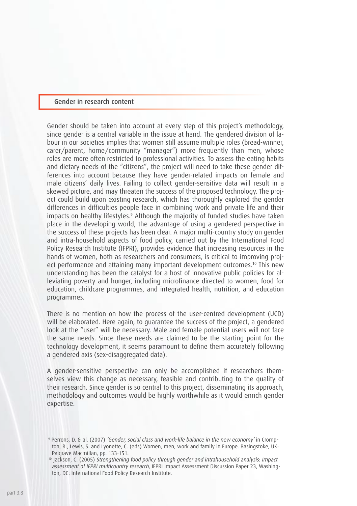#### Gender in research content

Gender should be taken into account at every step of this project's methodology, since gender is a central variable in the issue at hand. The gendered division of labour in our societies implies that women still assume multiple roles (bread-winner, carer/parent, home/community "manager") more frequently than men, whose roles are more often restricted to professional activities. To assess the eating habits and dietary needs of the "citizens", the project will need to take these gender differences into account because they have gender-related impacts on female and male citizens' daily lives. Failing to collect gender-sensitive data will result in a skewed picture, and may threaten the success of the proposed technology. The project could build upon existing research, which has thoroughly explored the gender differences in difficulties people face in combining work and private life and their impacts on healthy lifestyles.<sup>9</sup> Although the majority of funded studies have taken place in the developing world, the advantage of using a gendered perspective in the success of these projects has been clear. A major multi-country study on gender and intra-household aspects of food policy, carried out by the International Food Policy Research Institute (IFPRI), provides evidence that increasing resources in the hands of women, both as researchers and consumers, is critical to improving project performance and attaining many important development outcomes.10 This new understanding has been the catalyst for a host of innovative public policies for alleviating poverty and hunger, including microfinance directed to women, food for education, childcare programmes, and integrated health, nutrition, and education programmes.

There is no mention on how the process of the user-centred development (UCD) will be elaborated. Here again, to guarantee the success of the project, a gendered look at the "user" will be necessary. Male and female potential users will not face the same needs. Since these needs are claimed to be the starting point for the technology development, it seems paramount to define them accurately following a gendered axis (sex-disaggregated data).

A gender-sensitive perspective can only be accomplished if researchers themselves view this change as necessary, feasible and contributing to the quality of their research. Since gender is so central to this project, disseminating its approach, methodology and outcomes would be highly worthwhile as it would enrich gender expertise.

<sup>9</sup> Perrons, D. & al. (2007) 'Gender, social class and work-life balance in the new economy' in Crompton, R., Lewis, S. and Lyonette, C. (eds) Women, men, work and family in Europe. Basingstoke, UK: Palgrave Macmillan, pp. 133-151.

<sup>&</sup>lt;sup>10</sup> Jackson, C. (2005) Strengthening food policy through gender and intrahousehold analysis: Impact assessment of IFPRI multicountry research, IFPRI Impact Assessment Discussion Paper 23, Washington, DC: International Food Policy Research Institute.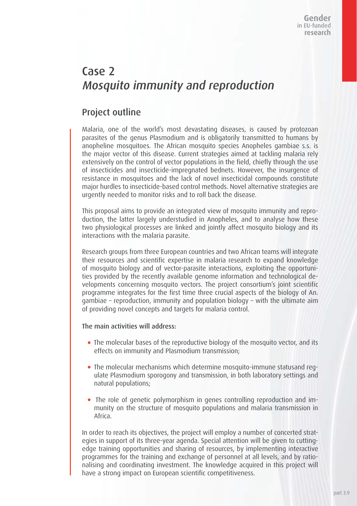# Case 2 Mosquito immunity and reproduction

## Project outline

Malaria, one of the world's most devastating diseases, is caused by protozoan parasites of the genus Plasmodium and is obligatorily transmitted to humans by anopheline mosquitoes. The African mosquito species Anopheles gambiae s.s. is the major vector of this disease. Current strategies aimed at tackling malaria rely extensively on the control of vector populations in the field, chiefly through the use of insecticides and insecticide-impregnated bednets. However, the insurgence of resistance in mosquitoes and the lack of novel insecticidal compounds constitute major hurdles to insecticide-based control methods. Novel alternative strategies are urgently needed to monitor risks and to roll back the disease.

This proposal aims to provide an integrated view of mosquito immunity and reproduction, the latter largely understudied in Anopheles, and to analyse how these two physiological processes are linked and jointly affect mosquito biology and its interactions with the malaria parasite.

Research groups from three European countries and two African teams will integrate their resources and scientific expertise in malaria research to expand knowledge of mosquito biology and of vector-parasite interactions, exploiting the opportunities provided by the recently available genome information and technological developments concerning mosquito vectors. The project consortium's joint scientific programme integrates for the first time three crucial aspects of the biology of An. gambiae – reproduction, immunity and population biology – with the ultimate aim of providing novel concepts and targets for malaria control.

#### The main activities will address:

- The molecular bases of the reproductive biology of the mosquito vector, and its effects on immunity and Plasmodium transmission;
- The molecular mechanisms which determine mosquito-immune statusand regulate Plasmodium sporogony and transmission, in both laboratory settings and natural populations;
- The role of genetic polymorphism in genes controlling reproduction and immunity on the structure of mosquito populations and malaria transmission in Africa.

In order to reach its objectives, the project will employ a number of concerted strategies in support of its three-year agenda. Special attention will be given to cuttingedge training opportunities and sharing of resources, by implementing interactive programmes for the training and exchange of personnel at all levels, and by rationalising and coordinating investment. The knowledge acquired in this project will have a strong impact on European scientific competitiveness.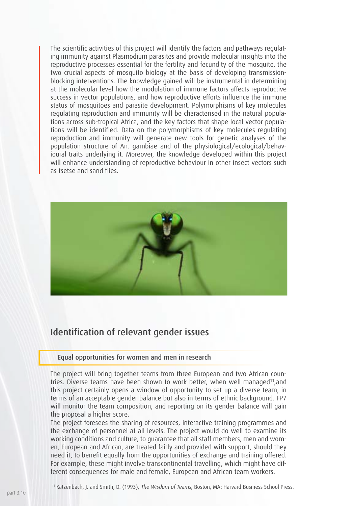The scientific activities of this project will identify the factors and pathways regulating immunity against Plasmodium parasites and provide molecular insights into the reproductive processes essential for the fertility and fecundity of the mosquito, the two crucial aspects of mosquito biology at the basis of developing transmissionblocking interventions. The knowledge gained will be instrumental in determining at the molecular level how the modulation of immune factors affects reproductive success in vector populations, and how reproductive efforts influence the immune status of mosquitoes and parasite development. Polymorphisms of key molecules regulating reproduction and immunity will be characterised in the natural populations across sub-tropical Africa, and the key factors that shape local vector populations will be identified. Data on the polymorphisms of key molecules regulating reproduction and immunity will generate new tools for genetic analyses of the population structure of An. gambiae and of the physiological/ecological/behavioural traits underlying it. Moreover, the knowledge developed within this project will enhance understanding of reproductive behaviour in other insect vectors such as tsetse and sand flies.



## Identification of relevant gender issues

#### Equal opportunities for women and men in research

The project will bring together teams from three European and two African countries. Diverse teams have been shown to work better, when well managed<sup>11</sup>, and this project certainly opens a window of opportunity to set up a diverse team, in terms of an acceptable gender balance but also in terms of ethnic background. FP7 will monitor the team composition, and reporting on its gender balance will gain the proposal a higher score.

The project foresees the sharing of resources, interactive training programmes and the exchange of personnel at all levels. The project would do well to examine its working conditions and culture, to guarantee that all staff members, men and women, European and African, are treated fairly and provided with support, should they need it, to benefit equally from the opportunities of exchange and training offered. For example, these might involve transcontinental travelling, which might have different consequences for male and female, European and African team workers.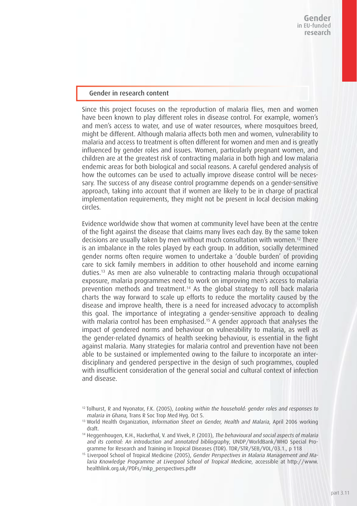#### Gender in research content

Since this project focuses on the reproduction of malaria flies, men and women have been known to play different roles in disease control. For example, women's and men's access to water, and use of water resources, where mosquitoes breed, might be different. Although malaria affects both men and women, vulnerability to malaria and access to treatment is often different for women and men and is greatly influenced by gender roles and issues. Women, particularly pregnant women, and children are at the greatest risk of contracting malaria in both high and low malaria endemic areas for both biological and social reasons. A careful gendered analysis of how the outcomes can be used to actually improve disease control will be necessary. The success of any disease control programme depends on a gender-sensitive approach, taking into account that if women are likely to be in charge of practical implementation requirements, they might not be present in local decision making circles.

Evidence worldwide show that women at community level have been at the centre of the fight against the disease that claims many lives each day. By the same token decisions are usually taken by men without much consultation with women.<sup>12</sup> There is an imbalance in the roles played by each group. In addition, socially determined gender norms often require women to undertake a 'double burden' of providing care to sick family members in addition to other household and income earning duties.13 As men are also vulnerable to contracting malaria through occupational exposure, malaria programmes need to work on improving men's access to malaria prevention methods and treatment.14 As the global strategy to roll back malaria charts the way forward to scale up efforts to reduce the mortality caused by the disease and improve health, there is a need for increased advocacy to accomplish this goal. The importance of integrating a gender-sensitive approach to dealing with malaria control has been emphasised.<sup>15</sup> A gender approach that analyses the impact of gendered norms and behaviour on vulnerability to malaria, as well as the gender-related dynamics of health seeking behaviour, is essential in the fight against malaria. Many strategies for malaria control and prevention have not been able to be sustained or implemented owing to the failure to incorporate an interdisciplinary and gendered perspective in the design of such programmes, coupled with insufficient consideration of the general social and cultural context of infection and disease.

<sup>12</sup> Tolhurst, R and Nyonator, F.K. (2005), Looking within the household: gender roles and responses to malaria in Ghana, Trans R Soc Trop Med Hyg. Oct 5.

<sup>&</sup>lt;sup>13</sup> World Health Organization, *Information*, Sheet on Gender, Health and Malaria, April 2006 working draft.

<sup>14</sup> Heggenhougen, K.H., Hackethal, V. and Vivek, P. (2003), The behavioural and social aspects of malaria and its control: An introduction and annotated bibliography, UNDP/WorldBank/WHO Special Programme for Research and Training in Tropical Diseases (TDR). TDR/STR/SEB/VOL/03.1., p 118

<sup>&</sup>lt;sup>15</sup> Liverpool School of Tropical Medicine (2005), Gender Perspectives in Malaria Management and Malaria Knowledge Programme at Liverpool School of Tropical Medicine, accessible at http://www. healthlink.org.uk/PDFs/mkp\_perspectives.pdf#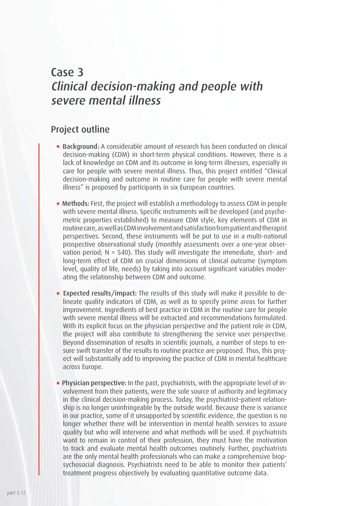## Case 3 Clinical decision-making and people with severe mental illness

### Project outline

- Background: A considerable amount of research has been conducted on clinical decision-making (CDM) in short-term physical conditions. However, there is a lack of knowledge on CDM and its outcome in long-term illnesses, especially in care for people with severe mental illness. Thus, this project entitled "Clinical decision-making and outcome in routine care for people with severe mental illness" is proposed by participants in six European countries.
- Methods: First, the project will establish a methodology to assess CDM in people with severe mental illness. Specific instruments will be developed (and psychometric properties established) to measure CDM style, key elements of CDM in routine care, as well as CDM involvement and satisfaction from patient and therapist perspectives. Second, these instruments will be put to use in a multi-national prospective observational study (monthly assessments over a one-year observation period; N = 540). This study will investigate the immediate, short- and long-term effect of CDM on crucial dimensions of clinical outcome (symptom level, quality of life, needs) by taking into account significant variables moderating the relationship between CDM and outcome.
- Expected results/impact: The results of this study will make it possible to delineate quality indicators of CDM, as well as to specify prime areas for further improvement. Ingredients of best practice in CDM in the routine care for people with severe mental illness will be extracted and recommendations formulated. With its explicit focus on the physician perspective and the patient role in CDM, the project will also contribute to strengthening the service user perspective. Beyond dissemination of results in scientific journals, a number of steps to ensure swift transfer of the results to routine practice are proposed. Thus, this project will substantially add to improving the practice of CDM in mental healthcare across Europe.
- Physician perspective: In the past, psychiatrists, with the appropriate level of involvement from their patients, were the sole source of authority and legitimacy in the clinical decision-making process. Today, the psychiatrist–patient relationship is no longer uninfringeable by the outside world. Because there is variance in our practice, some of it unsupported by scientific evidence, the question is no longer whether there will be intervention in mental health services to assure quality but who will intervene and what methods will be used. If psychiatrists want to remain in control of their profession, they must have the motivation to track and evaluate mental health outcomes routinely. Further, psychiatrists are the only mental health professionals who can make a comprehensive biopsychosocial diagnosis. Psychiatrists need to be able to monitor their patients' treatment progress objectively by evaluating quantitative outcome data.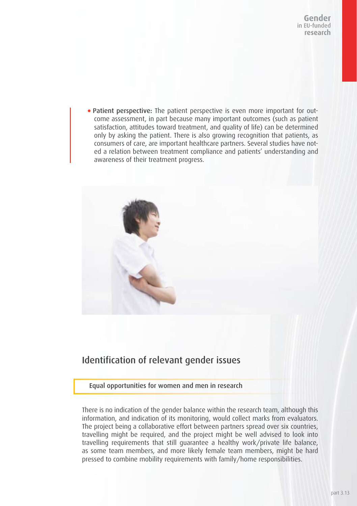Patient perspective: The patient perspective is even more important for outcome assessment, in part because many important outcomes (such as patient satisfaction, attitudes toward treatment, and quality of life) can be determined only by asking the patient. There is also growing recognition that patients, as consumers of care, are important healthcare partners. Several studies have noted a relation between treatment compliance and patients' understanding and awareness of their treatment progress.



## Identification of relevant gender issues

#### Equal opportunities for women and men in research

There is no indication of the gender balance within the research team, although this information, and indication of its monitoring, would collect marks from evaluators. The project being a collaborative effort between partners spread over six countries, travelling might be required, and the project might be well advised to look into travelling requirements that still guarantee a healthy work/private life balance, as some team members, and more likely female team members, might be hard pressed to combine mobility requirements with family/home responsibilities.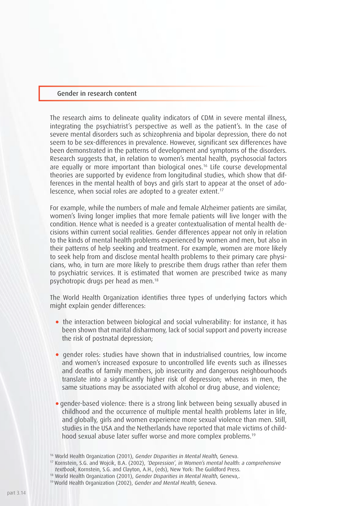#### Gender in research content

The research aims to delineate quality indicators of CDM in severe mental illness, integrating the psychiatrist's perspective as well as the patient's. In the case of severe mental disorders such as schizophrenia and bipolar depression, there do not seem to be sex-differences in prevalence. However, significant sex differences have been demonstrated in the patterns of development and symptoms of the disorders. Research suggests that, in relation to women's mental health, psychosocial factors are equally or more important than biological ones.16 Life course developmental theories are supported by evidence from longitudinal studies, which show that differences in the mental health of boys and girls start to appear at the onset of adolescence, when social roles are adopted to a greater extent.<sup>17</sup>

For example, while the numbers of male and female Alzheimer patients are similar, women's living longer implies that more female patients will live longer with the condition. Hence what is needed is a greater contextualisation of mental health decisions within current social realities. Gender differences appear not only in relation to the kinds of mental health problems experienced by women and men, but also in their patterns of help seeking and treatment. For example, women are more likely to seek help from and disclose mental health problems to their primary care physicians, who, in turn are more likely to prescribe them drugs rather than refer them to psychiatric services. It is estimated that women are prescribed twice as many psychotropic drugs per head as men.18

The World Health Organization identifies three types of underlying factors which might explain gender differences:

- the interaction between biological and social vulnerability: for instance, it has been shown that marital disharmony, lack of social support and poverty increase the risk of postnatal depression;
- gender roles: studies have shown that in industrialised countries, low income and women's increased exposure to uncontrolled life events such as illnesses and deaths of family members, job insecurity and dangerous neighbourhoods translate into a significantly higher risk of depression; whereas in men, the same situations may be associated with alcohol or drug abuse, and violence;
- gender-based violence: there is a strong link between being sexually abused in childhood and the occurrence of multiple mental health problems later in life, and globally, girls and women experience more sexual violence than men. Still, studies in the USA and the Netherlands have reported that male victims of childhood sexual abuse later suffer worse and more complex problems.19

<sup>&</sup>lt;sup>16</sup> World Health Organization (2001), Gender Disparities in Mental Health, Geneva.

<sup>17</sup> Kornstein, S.G. and Wojcik, B.A. (2002), 'Depression', in Women's mental health: a comprehensive textbook, Kornstein, S.G. and Clayton, A.H., (eds), New York: The Guildford Press.

<sup>&</sup>lt;sup>18</sup> World Health Organization (2001), Gender Disparities in Mental Health, Geneva,.

<sup>19</sup> World Health Organization (2002), Gender and Mental Health, Geneva.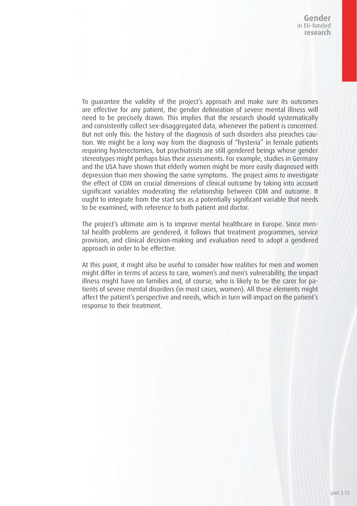To guarantee the validity of the project's approach and make sure its outcomes are effective for any patient, the gender delineation of severe mental illness will need to be precisely drawn. This implies that the research should systematically and consistently collect sex-disaggregated data, whenever the patient is concerned. But not only this: the history of the diagnosis of such disorders also preaches caution. We might be a long way from the diagnosis of "hysteria" in female patients requiring hysterectomies, but psychiatrists are still gendered beings whose gender stereotypes might perhaps bias their assessments. For example, studies in Germany and the USA have shown that elderly women might be more easily diagnosed with depression than men showing the same symptoms. The project aims to investigate the effect of CDM on crucial dimensions of clinical outcome by taking into account significant variables moderating the relationship between CDM and outcome. It ought to integrate from the start sex as a potentially significant variable that needs to be examined, with reference to both patient and doctor.

The project's ultimate aim is to improve mental healthcare in Europe. Since mental health problems are gendered, it follows that treatment programmes, service provision, and clinical decision-making and evaluation need to adopt a gendered approach in order to be effective.

At this point, it might also be useful to consider how realities for men and women might differ in terms of access to care, women's and men's vulnerability, the impact illness might have on families and, of course, who is likely to be the carer for patients of severe mental disorders (in most cases, women). All these elements might affect the patient's perspective and needs, which in turn will impact on the patient's response to their treatment.